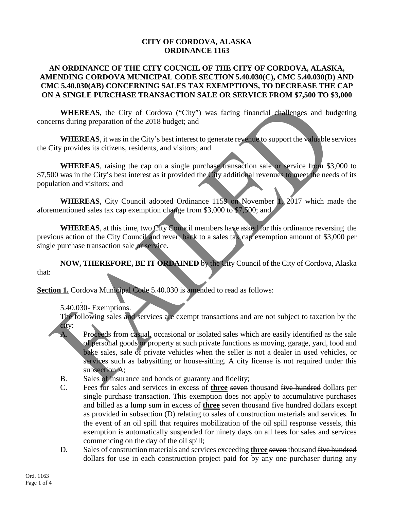## **CITY OF CORDOVA, ALASKA ORDINANCE 1163**

## **AN ORDINANCE OF THE CITY COUNCIL OF THE CITY OF CORDOVA, ALASKA, AMENDING CORDOVA MUNICIPAL CODE SECTION 5.40.030(C), CMC 5.40.030(D) AND CMC 5.40.030(AB) CONCERNING SALES TAX EXEMPTIONS, TO DECREASE THE CAP ON A SINGLE PURCHASE TRANSACTION SALE OR SERVICE FROM \$7,500 TO \$3,000**

**WHEREAS**, the City of Cordova ("City") was facing financial challenges and budgeting concerns during preparation of the 2018 budget; and

**WHEREAS**, it was in the City's best interest to generate revenue to support the valuable services the City provides its citizens, residents, and visitors; and

**WHEREAS**, raising the cap on a single purchase transaction sale or service from \$3,000 to \$7,500 was in the City's best interest as it provided the City additional revenues to meet the needs of its population and visitors; and

**WHEREAS**, City Council adopted Ordinance 1159 on November 1, 2017 which made the aforementioned sales tax cap exemption change from \$3,000 to \$7,500; and

**WHEREAS**, at this time, two City Council members have asked for this ordinance reversing the previous action of the City Council and revert back to a sales tax cap exemption amount of \$3,000 per single purchase transaction sale or service.

**NOW, THEREFORE, BE IT ORDAINED** by the City Council of the City of Cordova, Alaska that:

**Section 1.** Cordova Municipal Code 5.40.030 is amended to read as follows:

5.40.030- Exemptions.

The following sales and services are exempt transactions and are not subject to taxation by the city:

- A. Proceeds from casual, occasional or isolated sales which are easily identified as the sale of personal goods or property at such private functions as moving, garage, yard, food and bake sales, sale of private vehicles when the seller is not a dealer in used vehicles, or services such as babysitting or house-sitting. A city license is not required under this subsection A;
- B. Sales of insurance and bonds of guaranty and fidelity;
- C. Fees for sales and services in excess of **three** seven thousand five hundred dollars per single purchase transaction. This exemption does not apply to accumulative purchases and billed as a lump sum in excess of **three** seven thousand five hundred dollars except as provided in subsection (D) relating to sales of construction materials and services. In the event of an oil spill that requires mobilization of the oil spill response vessels, this exemption is automatically suspended for ninety days on all fees for sales and services commencing on the day of the oil spill;
- D. Sales of construction materials and services exceeding **three** seven thousand five hundred dollars for use in each construction project paid for by any one purchaser during any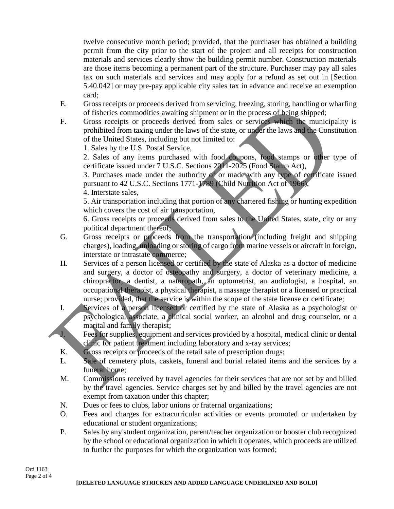twelve consecutive month period; provided, that the purchaser has obtained a building permit from the city prior to the start of the project and all receipts for construction materials and services clearly show the building permit number. Construction materials are those items becoming a permanent part of the structure. Purchaser may pay all sales tax on such materials and services and may apply for a refund as set out in [Section 5.40.042] or may pre-pay applicable city sales tax in advance and receive an exemption card;

- E. Gross receipts or proceeds derived from servicing, freezing, storing, handling or wharfing of fisheries commodities awaiting shipment or in the process of being shipped;
- F. Gross receipts or proceeds derived from sales or services which the municipality is prohibited from taxing under the laws of the state, or under the laws and the Constitution of the United States, including but not limited to:

1. Sales by the U.S. Postal Service,

2. Sales of any items purchased with food coupons, food stamps or other type of certificate issued under 7 U.S.C. Sections 2011-2025 (Food Stamp Act),

3. Purchases made under the authority of or made with any type of certificate issued pursuant to 42 U.S.C. Sections 1771-1789 (Child Nutrition Act of 1966),

4. Interstate sales,

5. Air transportation including that portion of any chartered fishing or hunting expedition which covers the cost of air transportation,

6. Gross receipts or proceeds derived from sales to the United States, state, city or any political department thereof;

- G. Gross receipts or proceeds from the transportation (including freight and shipping charges), loading, unloading or storing of cargo from marine vessels or aircraft in foreign, interstate or intrastate commerce;
- H. Services of a person licensed or certified by the state of Alaska as a doctor of medicine and surgery, a doctor of osteopathy and surgery, a doctor of veterinary medicine, a chiropractor, a dentist, a naturopath, an optometrist, an audiologist, a hospital, an occupational therapist, a physical therapist, a massage therapist or a licensed or practical nurse; provided, that the service is within the scope of the state license or certificate;
- I. Services of a person licensed or certified by the state of Alaska as a psychologist or psychological associate, a clinical social worker, an alcohol and drug counselor, or a marital and family therapist;
- J. Fees for supplies, equipment and services provided by a hospital, medical clinic or dental clinic for patient treatment including laboratory and x-ray services;
- K. Gross receipts or proceeds of the retail sale of prescription drugs;
- L. Sale of cemetery plots, caskets, funeral and burial related items and the services by a funeral home;
- M. Commissions received by travel agencies for their services that are not set by and billed by the travel agencies. Service charges set by and billed by the travel agencies are not exempt from taxation under this chapter;
- N. Dues or fees to clubs, labor unions or fraternal organizations;
- O. Fees and charges for extracurricular activities or events promoted or undertaken by educational or student organizations;
- P. Sales by any student organization, parent/teacher organization or booster club recognized by the school or educational organization in which it operates, which proceeds are utilized to further the purposes for which the organization was formed;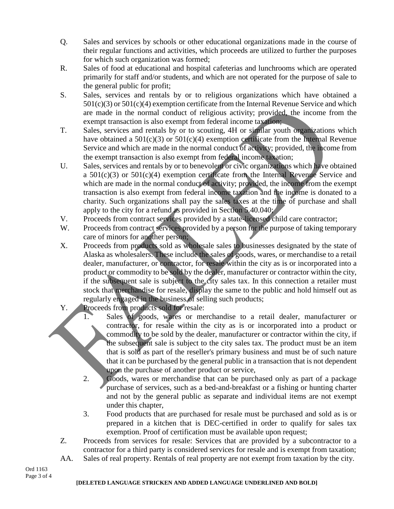- Q. Sales and services by schools or other educational organizations made in the course of their regular functions and activities, which proceeds are utilized to further the purposes for which such organization was formed;
- R. Sales of food at educational and hospital cafeterias and lunchrooms which are operated primarily for staff and/or students, and which are not operated for the purpose of sale to the general public for profit;
- S. Sales, services and rentals by or to religious organizations which have obtained a  $501(c)(3)$  or  $501(c)(4)$  exemption certificate from the Internal Revenue Service and which are made in the normal conduct of religious activity; provided, the income from the exempt transaction is also exempt from federal income taxation;
- T. Sales, services and rentals by or to scouting, 4H or similar youth organizations which have obtained a 501(c)(3) or 501(c)(4) exemption certificate from the Internal Revenue Service and which are made in the normal conduct of activity; provided, the income from the exempt transaction is also exempt from federal income taxation;
- U. Sales, services and rentals by or to benevolent or civic organizations which have obtained a  $501(c)(3)$  or  $501(c)(4)$  exemption certificate from the Internal Revenue Service and which are made in the normal conduct of activity; provided, the income from the exempt transaction is also exempt from federal income taxation and the income is donated to a charity. Such organizations shall pay the sales taxes at the time of purchase and shall apply to the city for a refund as provided in Section 5.40.040;
- V. Proceeds from contract services provided by a state-licensed child care contractor;
- W. Proceeds from contract services provided by a person for the purpose of taking temporary care of minors for another person;
- X. Proceeds from products sold as wholesale sales to businesses designated by the state of Alaska as wholesalers. These include the sales of goods, wares, or merchandise to a retail dealer, manufacturer, or contractor, for resale within the city as is or incorporated into a product or commodity to be sold by the dealer, manufacturer or contractor within the city, if the subsequent sale is subject to the city sales tax. In this connection a retailer must stock that merchandise for resale, display the same to the public and hold himself out as regularly engaged in the business of selling such products;
- Y. Proceeds from products sold for resale:
	- 1. Sales of goods, wares or merchandise to a retail dealer, manufacturer or contractor, for resale within the city as is or incorporated into a product or commodity to be sold by the dealer, manufacturer or contractor within the city, if the subsequent sale is subject to the city sales tax. The product must be an item that is sold as part of the reseller's primary business and must be of such nature that it can be purchased by the general public in a transaction that is not dependent upon the purchase of another product or service,
	- 2. Goods, wares or merchandise that can be purchased only as part of a package purchase of services, such as a bed-and-breakfast or a fishing or hunting charter and not by the general public as separate and individual items are not exempt under this chapter,
	- 3. Food products that are purchased for resale must be purchased and sold as is or prepared in a kitchen that is DEC-certified in order to qualify for sales tax exemption. Proof of certification must be available upon request;
- Z. Proceeds from services for resale: Services that are provided by a subcontractor to a contractor for a third party is considered services for resale and is exempt from taxation;
- AA. Sales of real property. Rentals of real property are not exempt from taxation by the city.